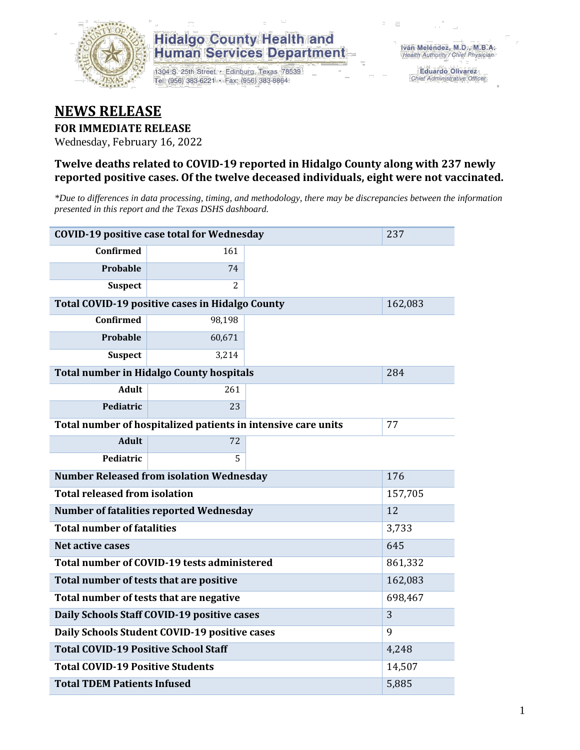

1304 S. 25th Street · Edinburg, Texas 78539 Tel: (956) 383-6221 · Fax: (956) 383-8864

**Eduardo Olivarez** Chief Administrative Officer

### **NEWS RELEASE**

#### **FOR IMMEDIATE RELEASE**

Wednesday, February 16, 2022

#### **Twelve deaths related to COVID-19 reported in Hidalgo County along with 237 newly reported positive cases. Of the twelve deceased individuals, eight were not vaccinated.**

*\*Due to differences in data processing, timing, and methodology, there may be discrepancies between the information presented in this report and the Texas DSHS dashboard.*

| <b>COVID-19 positive case total for Wednesday</b><br>237      |                                                 |  |         |  |  |  |
|---------------------------------------------------------------|-------------------------------------------------|--|---------|--|--|--|
| <b>Confirmed</b>                                              | 161                                             |  |         |  |  |  |
| Probable                                                      | 74                                              |  |         |  |  |  |
| <b>Suspect</b>                                                | 2                                               |  |         |  |  |  |
| <b>Total COVID-19 positive cases in Hidalgo County</b>        | 162,083                                         |  |         |  |  |  |
| <b>Confirmed</b>                                              | 98,198                                          |  |         |  |  |  |
| Probable                                                      | 60,671                                          |  |         |  |  |  |
| <b>Suspect</b>                                                | 3,214                                           |  |         |  |  |  |
|                                                               | <b>Total number in Hidalgo County hospitals</b> |  | 284     |  |  |  |
| <b>Adult</b>                                                  | 261                                             |  |         |  |  |  |
| Pediatric                                                     | 23                                              |  |         |  |  |  |
| Total number of hospitalized patients in intensive care units | 77                                              |  |         |  |  |  |
| <b>Adult</b>                                                  | 72                                              |  |         |  |  |  |
| Pediatric                                                     |                                                 |  |         |  |  |  |
| <b>Number Released from isolation Wednesday</b>               | 176                                             |  |         |  |  |  |
| <b>Total released from isolation</b><br>157,705               |                                                 |  |         |  |  |  |
| <b>Number of fatalities reported Wednesday</b>                | 12                                              |  |         |  |  |  |
| <b>Total number of fatalities</b>                             | 3,733                                           |  |         |  |  |  |
| <b>Net active cases</b>                                       |                                                 |  | 645     |  |  |  |
|                                                               | Total number of COVID-19 tests administered     |  | 861,332 |  |  |  |
| Total number of tests that are positive                       | 162,083                                         |  |         |  |  |  |
| Total number of tests that are negative                       | 698,467                                         |  |         |  |  |  |
| Daily Schools Staff COVID-19 positive cases                   | 3                                               |  |         |  |  |  |
| Daily Schools Student COVID-19 positive cases                 | 9                                               |  |         |  |  |  |
| <b>Total COVID-19 Positive School Staff</b>                   | 4,248                                           |  |         |  |  |  |
| <b>Total COVID-19 Positive Students</b>                       | 14,507                                          |  |         |  |  |  |
| <b>Total TDEM Patients Infused</b>                            | 5,885                                           |  |         |  |  |  |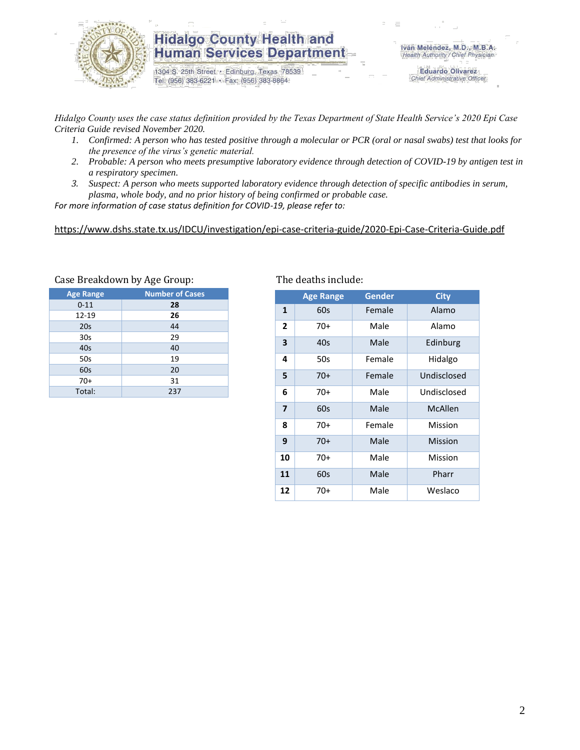

1304 S. 25th Street · Edinburg, Texas 78539 Tel: (956) 383-6221 · Fax: (956) 383-8864

**Eduardo Olivarez** Chief Administrative Officer

*Hidalgo County uses the case status definition provided by the Texas Department of State Health Service's 2020 Epi Case Criteria Guide revised November 2020.*

- *1. Confirmed: A person who has tested positive through a molecular or PCR (oral or nasal swabs) test that looks for the presence of the virus's genetic material.*
- *2. Probable: A person who meets presumptive laboratory evidence through detection of COVID-19 by antigen test in a respiratory specimen.*
- *3. Suspect: A person who meets supported laboratory evidence through detection of specific antibodies in serum, plasma, whole body, and no prior history of being confirmed or probable case.*

*For more information of case status definition for COVID-19, please refer to:*

<https://www.dshs.state.tx.us/IDCU/investigation/epi-case-criteria-guide/2020-Epi-Case-Criteria-Guide.pdf>

| <b>Age Range</b> | <b>Number of Cases</b> |
|------------------|------------------------|
| $0 - 11$         | 28                     |
| 12-19            | 26                     |
| 20s              | 44                     |
| 30 <sub>s</sub>  | 29                     |
| 40s              | 40                     |
| 50s              | 19                     |
| 60s              | 20                     |
| $70+$            | 31                     |
| Total:           | 237                    |

#### Case Breakdown by Age Group: The deaths include:

|                | <b>Age Range</b> | <b>Gender</b> | <b>City</b> |
|----------------|------------------|---------------|-------------|
| 1              | 60s              | Female        | Alamo       |
| 2              | 70+              | Male          | Alamo       |
| 3              | 40s              | Male          | Edinburg    |
| 4              | 50s              | Female        | Hidalgo     |
| 5              | $70+$            | Female        | Undisclosed |
| 6              | 70+              | Male          | Undisclosed |
| $\overline{7}$ | 60s              | Male          | McAllen     |
| 8              | $70+$            | Female        | Mission     |
| 9              | $70+$            | Male          | Mission     |
| 10             | 70+              | Male          | Mission     |
| 11             | 60s              | Male          | Pharr       |
| 12             | 70+              | Male          | Weslaco     |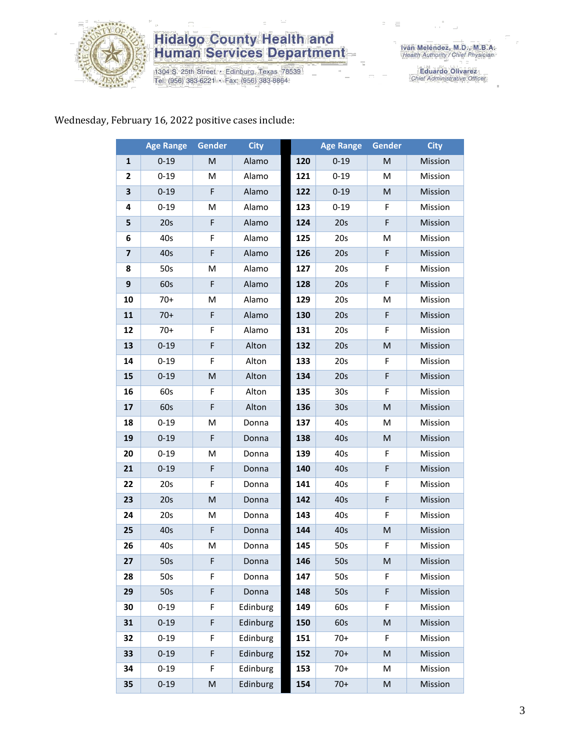

1304 S. 25th Street · Edinburg, Texas 78539<br>Tel: (956) 383-6221 · Fax: (956) 383-8864

Iván Meléndez, M.D., M.B.A.<br>Health Authority / Chief Physician

Eduardo Olivarez<br>Chief Administrative Officer

#### Wednesday, February 16, 2022 positive cases include:

|                         | <b>Age Range</b> | Gender      | <b>City</b> |     | <b>Age Range</b> | Gender | <b>City</b> |
|-------------------------|------------------|-------------|-------------|-----|------------------|--------|-------------|
| $\mathbf{1}$            | $0 - 19$         | M           | Alamo       | 120 | $0 - 19$         | M      | Mission     |
| 2                       | $0 - 19$         | M           | Alamo       | 121 | $0 - 19$         | M      | Mission     |
| 3                       | $0 - 19$         | F           | Alamo       | 122 | $0 - 19$         | M      | Mission     |
| 4                       | $0 - 19$         | M           | Alamo       | 123 | $0 - 19$         | F      | Mission     |
| 5                       | 20s              | F           | Alamo       | 124 | 20s              | F      | Mission     |
| 6                       | 40s              | F           | Alamo       | 125 | 20s              | M      | Mission     |
| $\overline{\mathbf{z}}$ | 40s              | F           | Alamo       | 126 | 20s              | F      | Mission     |
| 8                       | 50s              | M           | Alamo       | 127 | 20s              | F      | Mission     |
| 9                       | 60s              | F           | Alamo       | 128 | 20s              | F      | Mission     |
| 10                      | $70+$            | M           | Alamo       | 129 | 20s              | M      | Mission     |
| 11                      | $70+$            | F           | Alamo       | 130 | 20s              | F      | Mission     |
| 12                      | $70+$            | F           | Alamo       | 131 | 20s              | F      | Mission     |
| 13                      | $0 - 19$         | $\mathsf F$ | Alton       | 132 | 20s              | M      | Mission     |
| 14                      | $0 - 19$         | F           | Alton       | 133 | 20s              | F      | Mission     |
| 15                      | $0 - 19$         | M           | Alton       | 134 | 20s              | F      | Mission     |
| 16                      | 60s              | F           | Alton       | 135 | 30 <sub>s</sub>  | F      | Mission     |
| 17                      | 60s              | F           | Alton       | 136 | 30 <sub>s</sub>  | M      | Mission     |
| 18                      | $0 - 19$         | M           | Donna       | 137 | 40s              | M      | Mission     |
| 19                      | $0 - 19$         | F           | Donna       | 138 | 40s              | M      | Mission     |
| 20                      | $0 - 19$         | M           | Donna       | 139 | 40s              | F      | Mission     |
| 21                      | $0 - 19$         | $\mathsf F$ | Donna       | 140 | 40s              | F      | Mission     |
| 22                      | 20s              | F           | Donna       | 141 | 40s              | F      | Mission     |
| 23                      | 20s              | M           | Donna       | 142 | 40s              | F      | Mission     |
| 24                      | 20s              | M           | Donna       | 143 | 40s              | F      | Mission     |
| 25                      | 40s              | F           | Donna       | 144 | 40s              | M      | Mission     |
| 26                      | 40s              | M           | Donna       | 145 | 50s              | F      | Mission     |
| 27                      | 50s              | F           | Donna       | 146 | 50s              | м      | Mission     |
| 28                      | 50s              | F           | Donna       | 147 | 50s              | F      | Mission     |
| 29                      | 50s              | F           | Donna       | 148 | 50s              | F      | Mission     |
| 30                      | $0 - 19$         | F           | Edinburg    | 149 | 60s              | F      | Mission     |
| 31                      | $0 - 19$         | F           | Edinburg    | 150 | 60s              | M      | Mission     |
| 32                      | $0 - 19$         | F           | Edinburg    | 151 | $70+$            | F      | Mission     |
| 33                      | $0 - 19$         | $\mathsf F$ | Edinburg    | 152 | $70+$            | M      | Mission     |
| 34                      | $0 - 19$         | F           | Edinburg    | 153 | $70+$            | M      | Mission     |
| 35                      | $0 - 19$         | M           | Edinburg    | 154 | $70+$            | M      | Mission     |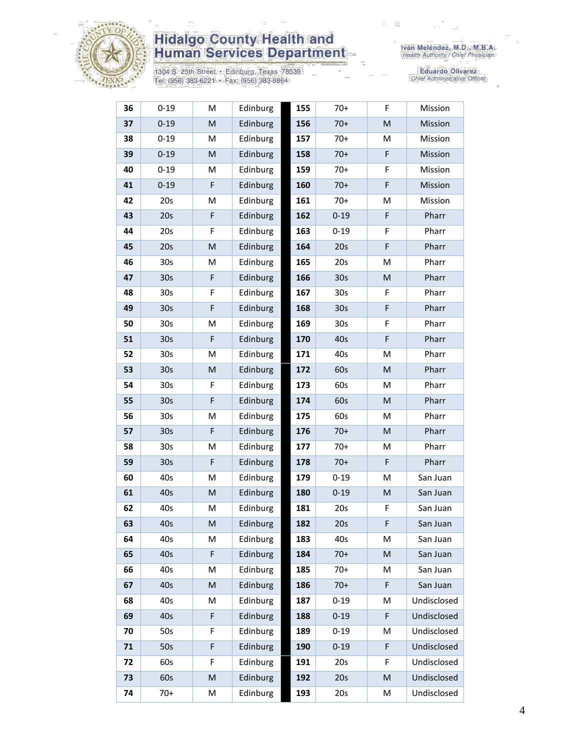

1304 S. 25th Street • Edinburg, Texas 78539<br>Tel: (956) 383-6221 • Fax: (956) 383-8864

Eduardo Olivarez<br>Chief Administrative Officer

| 36 | $0 - 19$        | M                                                                                                          | Edinburg | 155 | 70+             | F | Mission     |
|----|-----------------|------------------------------------------------------------------------------------------------------------|----------|-----|-----------------|---|-------------|
| 37 | $0 - 19$        | M                                                                                                          | Edinburg | 156 | $70+$           | M | Mission     |
| 38 | $0 - 19$        | M                                                                                                          | Edinburg | 157 | $70+$           | M | Mission     |
| 39 | $0 - 19$        | $\mathsf{M}% _{T}=\mathsf{M}_{T}\!\left( a,b\right) ,\ \mathsf{M}_{T}=\mathsf{M}_{T}\!\left( a,b\right) ,$ | Edinburg | 158 | $70+$           | F | Mission     |
| 40 | $0 - 19$        | M                                                                                                          | Edinburg | 159 | $70+$           | F | Mission     |
| 41 | $0 - 19$        | F                                                                                                          | Edinburg | 160 | $70+$           | F | Mission     |
| 42 | 20s             | M                                                                                                          | Edinburg | 161 | $70+$           | M | Mission     |
| 43 | 20s             | F                                                                                                          | Edinburg | 162 | $0 - 19$        | F | Pharr       |
| 44 | 20s             | F                                                                                                          | Edinburg | 163 | $0 - 19$        | F | Pharr       |
| 45 | 20s             | $\mathsf{M}% _{T}=\mathsf{M}_{T}\!\left( a,b\right) ,\ \mathsf{M}_{T}=\mathsf{M}_{T}\!\left( a,b\right) ,$ | Edinburg | 164 | 20s             | F | Pharr       |
| 46 | 30s             | M                                                                                                          | Edinburg | 165 | 20s             | M | Pharr       |
| 47 | 30 <sub>s</sub> | $\mathsf F$                                                                                                | Edinburg | 166 | 30 <sub>s</sub> | M | Pharr       |
| 48 | 30s             | F                                                                                                          | Edinburg | 167 | 30 <sub>s</sub> | F | Pharr       |
| 49 | 30 <sub>s</sub> | F                                                                                                          | Edinburg | 168 | 30 <sub>s</sub> | F | Pharr       |
| 50 | 30s             | M                                                                                                          | Edinburg | 169 | 30 <sub>s</sub> | F | Pharr       |
| 51 | 30 <sub>s</sub> | F                                                                                                          | Edinburg | 170 | 40s             | F | Pharr       |
| 52 | 30s             | M                                                                                                          | Edinburg | 171 | 40s             | M | Pharr       |
| 53 | 30 <sub>s</sub> | M                                                                                                          | Edinburg | 172 | 60s             | M | Pharr       |
| 54 | 30 <sub>s</sub> | F                                                                                                          | Edinburg | 173 | 60s             | M | Pharr       |
| 55 | 30 <sub>s</sub> | F                                                                                                          | Edinburg | 174 | 60s             | M | Pharr       |
| 56 | 30 <sub>s</sub> | M                                                                                                          | Edinburg | 175 | 60s             | м | Pharr       |
| 57 | 30 <sub>s</sub> | $\mathsf F$                                                                                                | Edinburg | 176 | $70+$           | M | Pharr       |
| 58 | 30 <sub>s</sub> | M                                                                                                          | Edinburg | 177 | $70+$           | M | Pharr       |
| 59 | 30 <sub>s</sub> | F                                                                                                          | Edinburg | 178 | $70+$           | F | Pharr       |
| 60 | 40s             | M                                                                                                          | Edinburg | 179 | $0 - 19$        | M | San Juan    |
| 61 | 40s             | M                                                                                                          | Edinburg | 180 | $0 - 19$        | M | San Juan    |
| 62 | 40s             | M                                                                                                          | Edinburg | 181 | 20s             | F | San Juan    |
| 63 | 40s             | M                                                                                                          | Edinburg | 182 | 20s             | F | San Juan    |
| 64 | 40s             | M                                                                                                          | Edinburg | 183 | 40s             | M | San Juan    |
| 65 | 40s             | $\mathsf F$                                                                                                | Edinburg | 184 | $70+$           | M | San Juan    |
| 66 | 40s             | M                                                                                                          | Edinburg | 185 | $70+$           | M | San Juan    |
| 67 | 40s             | M                                                                                                          | Edinburg | 186 | $70+$           | F | San Juan    |
| 68 | 40s             | M                                                                                                          | Edinburg | 187 | $0 - 19$        | М | Undisclosed |
| 69 | 40s             | F                                                                                                          | Edinburg | 188 | $0 - 19$        | F | Undisclosed |
| 70 | 50s             | F                                                                                                          | Edinburg | 189 | $0 - 19$        | м | Undisclosed |
| 71 | 50s             | $\mathsf F$                                                                                                | Edinburg | 190 | $0 - 19$        | F | Undisclosed |
| 72 | 60s             | F                                                                                                          | Edinburg | 191 | 20s             | F | Undisclosed |
| 73 | 60s             | ${\sf M}$                                                                                                  | Edinburg | 192 | 20s             | M | Undisclosed |
| 74 | $70+$           | M                                                                                                          | Edinburg | 193 | 20s             | M | Undisclosed |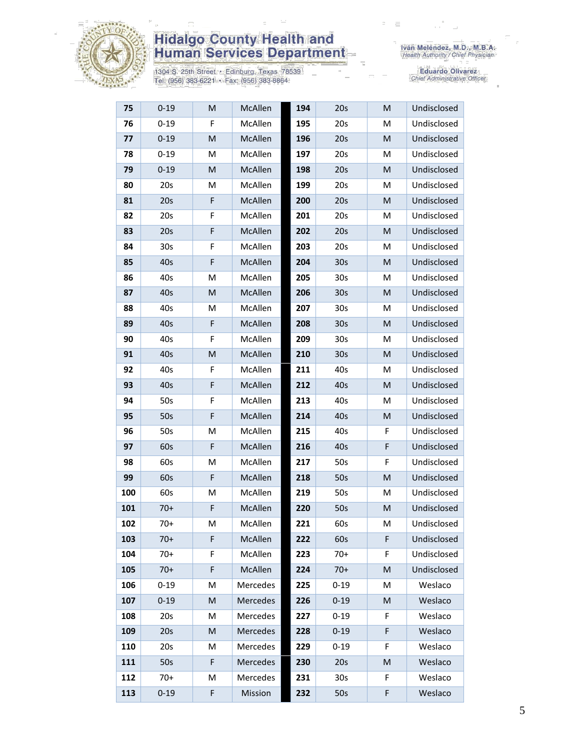

1304 S. 25th Street • Edinburg, Texas 78539<br>Tel: (956) 383-6221 • Fax: (956) 383-8864

Eduardo Olivarez<br>Chief Administrative Officer

| 75  | $0 - 19$ | M | McAllen  | 194 | 20s             | M  | Undisclosed |
|-----|----------|---|----------|-----|-----------------|----|-------------|
| 76  | $0 - 19$ | F | McAllen  | 195 | 20s             | м  | Undisclosed |
| 77  | $0 - 19$ | M | McAllen  | 196 | 20s             | M  | Undisclosed |
| 78  | $0 - 19$ | M | McAllen  | 197 | 20s             | M  | Undisclosed |
| 79  | $0 - 19$ | M | McAllen  | 198 | 20s             | M  | Undisclosed |
| 80  | 20s      | M | McAllen  | 199 | 20s             | M  | Undisclosed |
| 81  | 20s      | F | McAllen  | 200 | 20s             | M  | Undisclosed |
| 82  | 20s      | F | McAllen  | 201 | 20s             | М  | Undisclosed |
| 83  | 20s      | F | McAllen  | 202 | 20s             | M  | Undisclosed |
| 84  | 30s      | F | McAllen  | 203 | 20s             | M  | Undisclosed |
| 85  | 40s      | F | McAllen  | 204 | 30 <sub>s</sub> | M  | Undisclosed |
| 86  | 40s      | M | McAllen  | 205 | 30 <sub>s</sub> | м  | Undisclosed |
| 87  | 40s      | M | McAllen  | 206 | 30 <sub>s</sub> | M  | Undisclosed |
| 88  | 40s      | M | McAllen  | 207 | 30 <sub>s</sub> | М  | Undisclosed |
| 89  | 40s      | F | McAllen  | 208 | 30 <sub>s</sub> | M  | Undisclosed |
| 90  | 40s      | F | McAllen  | 209 | 30 <sub>s</sub> | M  | Undisclosed |
| 91  | 40s      | M | McAllen  | 210 | 30 <sub>s</sub> | M  | Undisclosed |
| 92  | 40s      | F | McAllen  | 211 | 40s             | M  | Undisclosed |
| 93  | 40s      | F | McAllen  | 212 | 40s             | M  | Undisclosed |
| 94  | 50s      | F | McAllen  | 213 | 40s             | М  | Undisclosed |
| 95  | 50s      | F | McAllen  | 214 | 40s             | M  | Undisclosed |
| 96  | 50s      | M | McAllen  | 215 | 40s             | F  | Undisclosed |
| 97  | 60s      | F | McAllen  | 216 | 40s             | F  | Undisclosed |
| 98  | 60s      | M | McAllen  | 217 | 50s             | F  | Undisclosed |
| 99  | 60s      | F | McAllen  | 218 | 50s             | M  | Undisclosed |
| 100 | 60s      | M | McAllen  | 219 | 50s             | M  | Undisclosed |
| 101 | $70+$    | F | McAllen  | 220 | 50s             | M  | Undisclosed |
| 102 | $70+$    | M | McAllen  | 221 | 60s             | M  | Undisclosed |
| 103 | $70+$    | F | McAllen  | 222 | 60s             | F  | Undisclosed |
| 104 | $70+$    | F | McAllen  | 223 | $70+$           | F  | Undisclosed |
| 105 | $70+$    | F | McAllen  | 224 | $70+$           | M  | Undisclosed |
| 106 | $0 - 19$ | M | Mercedes | 225 | $0 - 19$        | M  | Weslaco     |
| 107 | $0 - 19$ | M | Mercedes | 226 | $0 - 19$        | M  | Weslaco     |
| 108 | 20s      | Μ | Mercedes | 227 | $0 - 19$        | F  | Weslaco     |
| 109 | 20s      | M | Mercedes | 228 | $0 - 19$        | F  | Weslaco     |
| 110 | 20s      | M | Mercedes | 229 | $0 - 19$        | F  | Weslaco     |
| 111 | 50s      | F | Mercedes | 230 | 20s             | M  | Weslaco     |
| 112 | $70+$    | M | Mercedes | 231 | 30 <sub>s</sub> | F. | Weslaco     |
| 113 | $0 - 19$ | F | Mission  | 232 | 50s             | F  | Weslaco     |